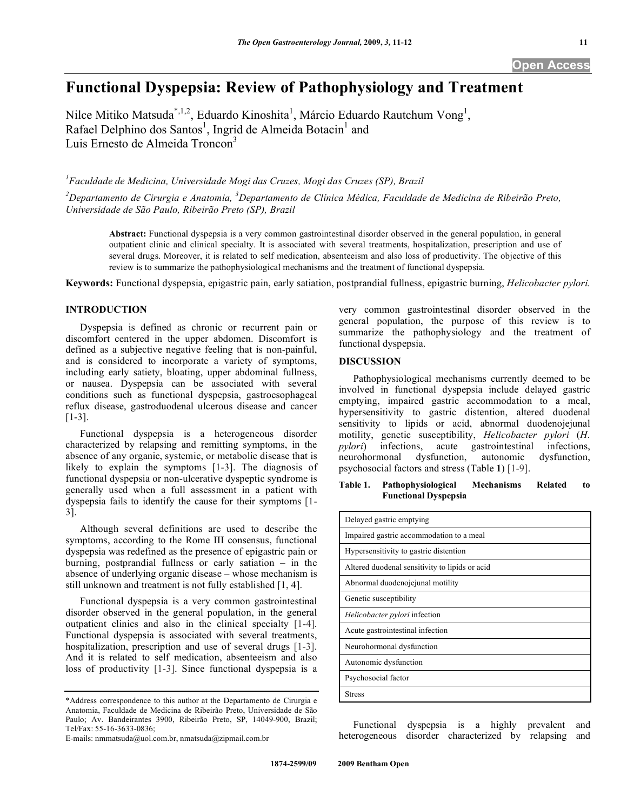# **Functional Dyspepsia: Review of Pathophysiology and Treatment**

Nilce Mitiko Matsuda<sup>\*,1,2</sup>, Eduardo Kinoshita<sup>1</sup>, Márcio Eduardo Rautchum Vong<sup>1</sup>, Rafael Delphino dos Santos<sup>1</sup>, Ingrid de Almeida Botacin<sup>1</sup> and Luis Ernesto de Almeida Troncon<sup>3</sup>

<sup>1</sup> Faculdade de Medicina, Universidade Mogi das Cruzes, Mogi das Cruzes (SP), Brazil

<sup>2</sup> Departamento de Cirurgia e Anatomia, <sup>3</sup> Departamento de Clínica Médica, Faculdade de Medicina de Ribeirão Preto, *Universidade de São Paulo, Ribeirão Preto (SP), Brazil* 

**Abstract:** Functional dyspepsia is a very common gastrointestinal disorder observed in the general population, in general outpatient clinic and clinical specialty. It is associated with several treatments, hospitalization, prescription and use of several drugs. Moreover, it is related to self medication, absenteeism and also loss of productivity. The objective of this review is to summarize the pathophysiological mechanisms and the treatment of functional dyspepsia.

**Keywords:** Functional dyspepsia, epigastric pain, early satiation, postprandial fullness, epigastric burning, *Helicobacter pylori.*

# **INTRODUCTION**

 Dyspepsia is defined as chronic or recurrent pain or discomfort centered in the upper abdomen. Discomfort is defined as a subjective negative feeling that is non-painful, and is considered to incorporate a variety of symptoms, including early satiety, bloating, upper abdominal fullness, or nausea. Dyspepsia can be associated with several conditions such as functional dyspepsia, gastroesophageal reflux disease, gastroduodenal ulcerous disease and cancer [1-3].

 Functional dyspepsia is a heterogeneous disorder characterized by relapsing and remitting symptoms, in the absence of any organic, systemic, or metabolic disease that is likely to explain the symptoms [1-3]. The diagnosis of functional dyspepsia or non-ulcerative dyspeptic syndrome is generally used when a full assessment in a patient with dyspepsia fails to identify the cause for their symptoms [1- 3].

 Although several definitions are used to describe the symptoms, according to the Rome III consensus, functional dyspepsia was redefined as the presence of epigastric pain or burning, postprandial fullness or early satiation – in the absence of underlying organic disease – whose mechanism is still unknown and treatment is not fully established [1, 4].

 Functional dyspepsia is a very common gastrointestinal disorder observed in the general population, in the general outpatient clinics and also in the clinical specialty [1-4]. Functional dyspepsia is associated with several treatments, hospitalization, prescription and use of several drugs [1-3]. And it is related to self medication, absenteeism and also loss of productivity [1-3]. Since functional dyspepsia is a

very common gastrointestinal disorder observed in the general population, the purpose of this review is to summarize the pathophysiology and the treatment of functional dyspepsia.

## **DISCUSSION**

 Pathophysiological mechanisms currently deemed to be involved in functional dyspepsia include delayed gastric emptying, impaired gastric accommodation to a meal, hypersensitivity to gastric distention, altered duodenal sensitivity to lipids or acid, abnormal duodenojejunal motility, genetic susceptibility, *Helicobacter pylori* (*H. pylori*) infections, acute gastrointestinal infections, neurohormonal dysfunction, autonomic dysfunction, neurohormonal dysfunction, autonomic dysfunction, psychosocial factors and stress (Table **1**) [1-9].

## **Table 1. Pathophysiological Mechanisms Related to Functional Dyspepsia**

| Delayed gastric emptying                       |
|------------------------------------------------|
| Impaired gastric accommodation to a meal       |
| Hypersensitivity to gastric distention         |
| Altered duodenal sensitivity to lipids or acid |
| Abnormal duodenojejunal motility               |
| Genetic susceptibility                         |
| Helicobacter pylori infection                  |
| Acute gastrointestinal infection               |
| Neurohormonal dysfunction                      |
| Autonomic dysfunction                          |
| Psychosocial factor                            |
| <b>Stress</b>                                  |

 Functional dyspepsia is a highly prevalent and heterogeneous disorder characterized by relapsing and

<sup>\*</sup>Address correspondence to this author at the Departamento de Cirurgia e Anatomia, Faculdade de Medicina de Ribeirão Preto, Universidade de São Paulo; Av. Bandeirantes 3900, Ribeirão Preto, SP, 14049-900, Brazil; Tel/Fax: 55-16-3633-0836;

E-mails: nmmatsuda@uol.com.br, nmatsuda@zipmail.com.br